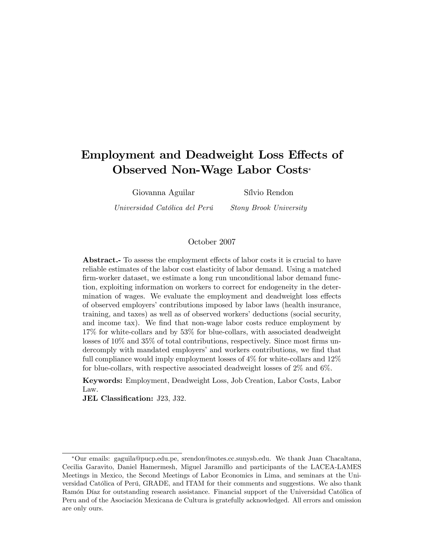# Employment and Deadweight Loss Effects of Observed Non-Wage Labor Costs

Giovanna Aguilar SÌlvio Rendon

Universidad Católica del Perú Stony Brook University

#### October 2007

Abstract.- To assess the employment effects of labor costs it is crucial to have reliable estimates of the labor cost elasticity of labor demand. Using a matched firm-worker dataset, we estimate a long run unconditional labor demand function, exploiting information on workers to correct for endogeneity in the determination of wages. We evaluate the employment and deadweight loss effects of observed employers' contributions imposed by labor laws (health insurance, training, and taxes) as well as of observed workers' deductions (social security, and income tax). We find that non-wage labor costs reduce employment by 17% for white-collars and by 53% for blue-collars, with associated deadweight losses of  $10\%$  and  $35\%$  of total contributions, respectively. Since most firms undercomply with mandated employers' and workers contributions, we find that full compliance would imply employment losses of 4% for white-collars and 12% for blue-collars, with respective associated deadweight losses of 2% and 6%.

Keywords: Employment, Deadweight Loss, Job Creation, Labor Costs, Labor Law.

JEL Classification: J23, J32.

Our emails: gaguila@pucp.edu.pe, srendon@notes.cc.sunysb.edu. We thank Juan Chacaltana, Cecilia Garavito, Daniel Hamermesh, Miguel Jaramillo and participants of the LACEA-LAMES Meetings in Mexico, the Second Meetings of Labor Economics in Lima, and seminars at the Universidad Católica of Perú, GRADE, and ITAM for their comments and suggestions. We also thank Ramón Díaz for outstanding research assistance. Financial support of the Universidad Católica of Peru and of the Asociación Mexicana de Cultura is gratefully acknowledged. All errors and omission are only ours.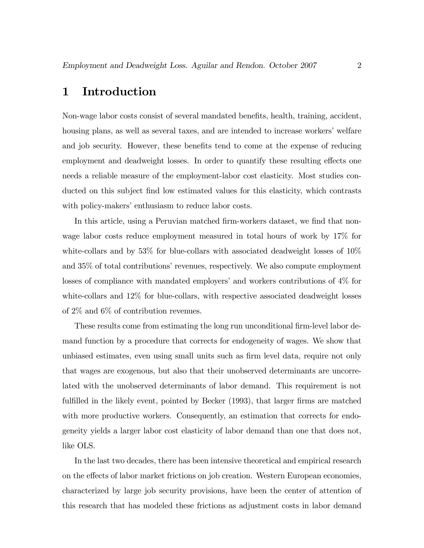## 1 Introduction

Non-wage labor costs consist of several mandated benefits, health, training, accident, housing plans, as well as several taxes, and are intended to increase workers' welfare and job security. However, these benefits tend to come at the expense of reducing employment and deadweight losses. In order to quantify these resulting effects one needs a reliable measure of the employment-labor cost elasticity. Most studies conducted on this subject find low estimated values for this elasticity, which contrasts with policy-makers' enthusiasm to reduce labor costs.

In this article, using a Peruvian matched firm-workers dataset, we find that nonwage labor costs reduce employment measured in total hours of work by 17% for white-collars and by 53% for blue-collars with associated deadweight losses of  $10\%$ and  $35\%$  of total contributions' revenues, respectively. We also compute employment losses of compliance with mandated employers' and workers contributions of  $4\%$  for white-collars and 12% for blue-collars, with respective associated deadweight losses of 2% and 6% of contribution revenues.

These results come from estimating the long run unconditional firm-level labor demand function by a procedure that corrects for endogeneity of wages. We show that unbiased estimates, even using small units such as firm level data, require not only that wages are exogenous, but also that their unobserved determinants are uncorrelated with the unobserved determinants of labor demand. This requirement is not fulfilled in the likely event, pointed by Becker (1993), that larger firms are matched with more productive workers. Consequently, an estimation that corrects for endogeneity yields a larger labor cost elasticity of labor demand than one that does not, like OLS.

In the last two decades, there has been intensive theoretical and empirical research on the effects of labor market frictions on job creation. Western European economies, characterized by large job security provisions, have been the center of attention of this research that has modeled these frictions as adjustment costs in labor demand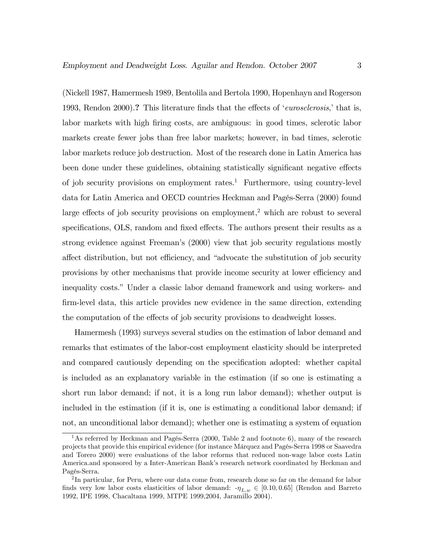(Nickell 1987, Hamermesh 1989, Bentolila and Bertola 1990, Hopenhayn and Rogerson 1993, Rendon 2000).? This literature finds that the effects of *'eurosclerosis*,' that is, labor markets with high firing costs, are ambiguous: in good times, sclerotic labor markets create fewer jobs than free labor markets; however, in bad times, sclerotic labor markets reduce job destruction. Most of the research done in Latin America has been done under these guidelines, obtaining statistically significant negative effects of job security provisions on employment rates.<sup>1</sup> Furthermore, using country-level data for Latin America and OECD countries Heckman and Pagés-Serra (2000) found large effects of job security provisions on employment,<sup>2</sup> which are robust to several specifications, OLS, random and fixed effects. The authors present their results as a strong evidence against Freeman's (2000) view that job security regulations mostly affect distribution, but not efficiency, and "advocate the substitution of job security provisions by other mechanisms that provide income security at lower efficiency and inequality costs." Under a classic labor demand framework and using workers- and Örm-level data, this article provides new evidence in the same direction, extending the computation of the effects of job security provisions to deadweight losses.

Hamermesh (1993) surveys several studies on the estimation of labor demand and remarks that estimates of the labor-cost employment elasticity should be interpreted and compared cautiously depending on the specification adopted: whether capital is included as an explanatory variable in the estimation (if so one is estimating a short run labor demand; if not, it is a long run labor demand); whether output is included in the estimation (if it is, one is estimating a conditional labor demand; if not, an unconditional labor demand); whether one is estimating a system of equation

 $\frac{1}{1}$ As referred by Heckman and Pagés-Serra (2000, Table 2 and footnote 6), many of the research projects that provide this empirical evidence (for instance Márquez and Pagés-Serra 1998 or Saavedra and Torero 2000) were evaluations of the labor reforms that reduced non-wage labor costs Latin America.and sponsored by a Inter-American Bank's research network coordinated by Heckman and Pagés-Serra.

<sup>&</sup>lt;sup>2</sup>In particular, for Peru, where our data come from, research done so far on the demand for labor finds very low labor costs elasticities of labor demand:  $-\eta_{L,w} \in [0.10, 0.65]$  (Rendon and Barreto 1992, IPE 1998, Chacaltana 1999, MTPE 1999,2004, Jaramillo 2004).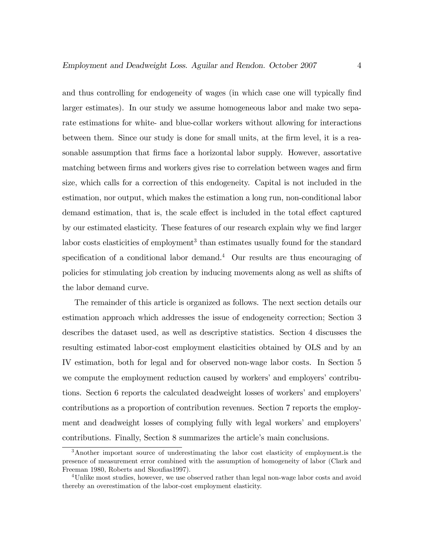and thus controlling for endogeneity of wages (in which case one will typically find larger estimates). In our study we assume homogeneous labor and make two separate estimations for white- and blue-collar workers without allowing for interactions between them. Since our study is done for small units, at the firm level, it is a reasonable assumption that firms face a horizontal labor supply. However, assortative matching between firms and workers gives rise to correlation between wages and firm size, which calls for a correction of this endogeneity. Capital is not included in the estimation, nor output, which makes the estimation a long run, non-conditional labor demand estimation, that is, the scale effect is included in the total effect captured by our estimated elasticity. These features of our research explain why we find larger labor costs elasticities of employment<sup>3</sup> than estimates usually found for the standard specification of a conditional labor demand.<sup>4</sup> Our results are thus encouraging of policies for stimulating job creation by inducing movements along as well as shifts of the labor demand curve.

The remainder of this article is organized as follows. The next section details our estimation approach which addresses the issue of endogeneity correction; Section 3 describes the dataset used, as well as descriptive statistics. Section 4 discusses the resulting estimated labor-cost employment elasticities obtained by OLS and by an IV estimation, both for legal and for observed non-wage labor costs. In Section 5 we compute the employment reduction caused by workers' and employers' contributions. Section 6 reports the calculated deadweight losses of workers' and employers' contributions as a proportion of contribution revenues. Section 7 reports the employment and deadweight losses of complying fully with legal workers' and employers' contributions. Finally, Section 8 summarizes the article's main conclusions.

<sup>3</sup>Another important source of underestimating the labor cost elasticity of employment.is the presence of measurement error combined with the assumption of homogeneity of labor (Clark and Freeman 1980, Roberts and Skoufias 1997).

<sup>&</sup>lt;sup>4</sup>Unlike most studies, however, we use observed rather than legal non-wage labor costs and avoid thereby an overestimation of the labor-cost employment elasticity.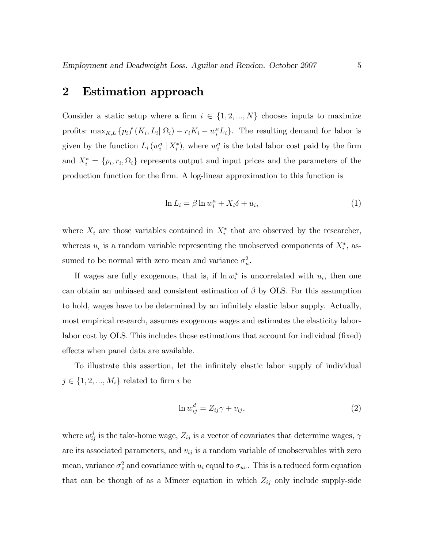## 2 Estimation approach

Consider a static setup where a firm  $i \in \{1, 2, ..., N\}$  chooses inputs to maximize profits:  $\max_{K,L} \{p_i f(K_i, L_i | \Omega_i) - r_i K_i - w_i^a L_i\}$ . The resulting demand for labor is given by the function  $L_i(w_i^a | X_i^*)$ , where  $w_i^a$  is the total labor cost paid by the firm and  $X_i^* = \{p_i, r_i, \Omega_i\}$  represents output and input prices and the parameters of the production function for the Örm. A log-linear approximation to this function is

$$
\ln L_i = \beta \ln w_i^a + X_i \delta + u_i,\tag{1}
$$

where  $X_i$  are those variables contained in  $X_i^*$  that are observed by the researcher, whereas  $u_i$  is a random variable representing the unobserved components of  $X_i^*$ , assumed to be normal with zero mean and variance  $\sigma_u^2$ .

If wages are fully exogenous, that is, if  $\ln w_i^a$  is uncorrelated with  $u_i$ , then one can obtain an unbiased and consistent estimation of  $\beta$  by OLS. For this assumption to hold, wages have to be determined by an infinitely elastic labor supply. Actually, most empirical research, assumes exogenous wages and estimates the elasticity laborlabor cost by OLS. This includes those estimations that account for individual (fixed) effects when panel data are available.

To illustrate this assertion, let the infinitely elastic labor supply of individual  $j \in \{1, 2, ..., M_i\}$  related to firm i be

$$
\ln w_{ij}^d = Z_{ij}\gamma + v_{ij},\tag{2}
$$

where  $w_{ij}^d$  is the take-home wage,  $Z_{ij}$  is a vector of covariates that determine wages,  $\gamma$ are its associated parameters, and  $v_{ij}$  is a random variable of unobservables with zero mean, variance  $\sigma_v^2$  and covariance with  $u_i$  equal to  $\sigma_{uv}$ . This is a reduced form equation that can be though of as a Mincer equation in which  $Z_{ij}$  only include supply-side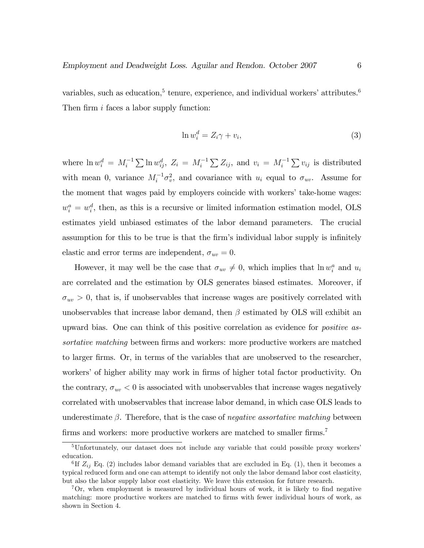variables, such as education,<sup>5</sup> tenure, experience, and individual workers' attributes.<sup>6</sup> Then firm  $i$  faces a labor supply function:

$$
\ln w_i^d = Z_i \gamma + v_i,\tag{3}
$$

where  $\ln w_i^d = M_i^{-1} \sum \ln w_{ij}^d$ ,  $Z_i = M_i^{-1} \sum Z_{ij}$ , and  $v_i = M_i^{-1} \sum v_{ij}$  is distributed with mean 0, variance  $M_i^{-1} \sigma_v^2$ , and covariance with  $u_i$  equal to  $\sigma_{uv}$ . Assume for the moment that wages paid by employers coincide with workers' take-home wages:  $w_i^a = w_i^d$ , then, as this is a recursive or limited information estimation model, OLS estimates yield unbiased estimates of the labor demand parameters. The crucial assumption for this to be true is that the firm's individual labor supply is infinitely elastic and error terms are independent,  $\sigma_{uv} = 0$ .

However, it may well be the case that  $\sigma_{uv} \neq 0$ , which implies that  $\ln w_i^a$  and  $u_i$ are correlated and the estimation by OLS generates biased estimates. Moreover, if  $\sigma_{uv} > 0$ , that is, if unobservables that increase wages are positively correlated with unobservables that increase labor demand, then  $\beta$  estimated by OLS will exhibit an upward bias. One can think of this positive correlation as evidence for positive assortative matching between firms and workers: more productive workers are matched to larger Örms. Or, in terms of the variables that are unobserved to the researcher, workers' of higher ability may work in firms of higher total factor productivity. On the contrary,  $\sigma_{uv} < 0$  is associated with unobservables that increase wages negatively correlated with unobservables that increase labor demand, in which case OLS leads to underestimate  $\beta$ . Therefore, that is the case of negative assortative matching between firms and workers: more productive workers are matched to smaller  $\text{firms.}^7$ 

 $5$ Unfortunately, our dataset does not include any variable that could possible proxy workers<sup>7</sup> education.

<sup>&</sup>lt;sup>6</sup>If  $Z_{ij}$  Eq. (2) includes labor demand variables that are excluded in Eq. (1), then it becomes a typical reduced form and one can attempt to identify not only the labor demand labor cost elasticity, but also the labor supply labor cost elasticity. We leave this extension for future research.

 ${}^{7}$ Or, when employment is measured by individual hours of work, it is likely to find negative matching: more productive workers are matched to firms with fewer individual hours of work, as shown in Section 4.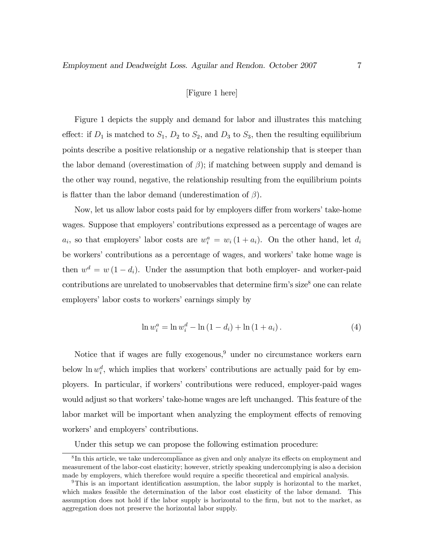#### [Figure 1 here]

Figure 1 depicts the supply and demand for labor and illustrates this matching effect: if  $D_1$  is matched to  $S_1$ ,  $D_2$  to  $S_2$ , and  $D_3$  to  $S_3$ , then the resulting equilibrium points describe a positive relationship or a negative relationship that is steeper than the labor demand (overestimation of  $\beta$ ); if matching between supply and demand is the other way round, negative, the relationship resulting from the equilibrium points is flatter than the labor demand (underestimation of  $\beta$ ).

Now, let us allow labor costs paid for by employers differ from workers' take-home wages. Suppose that employers' contributions expressed as a percentage of wages are  $a_i$ , so that employers' labor costs are  $w_i^a = w_i (1 + a_i)$ . On the other hand, let  $d_i$ be workers' contributions as a percentage of wages, and workers' take home wage is then  $w^d = w(1 - d_i)$ . Under the assumption that both employer- and worker-paid contributions are unrelated to unobservables that determine firm's size<sup>8</sup> one can relate employers' labor costs to workers' earnings simply by

$$
\ln w_i^a = \ln w_i^d - \ln (1 - d_i) + \ln (1 + a_i). \tag{4}
$$

Notice that if wages are fully exogenous, $9$  under no circumstance workers earn below  $\ln w_i^d$ , which implies that workers' contributions are actually paid for by employers. In particular, if workersícontributions were reduced, employer-paid wages would adjust so that workers' take-home wages are left unchanged. This feature of the labor market will be important when analyzing the employment effects of removing workers' and employers' contributions.

Under this setup we can propose the following estimation procedure:

 ${}^{8}$ In this article, we take undercompliance as given and only analyze its effects on employment and measurement of the labor-cost elasticity; however, strictly speaking undercomplying is also a decision made by employers, which therefore would require a specific theoretical and empirical analysis.

 $9$ This is an important identification assumption, the labor supply is horizontal to the market, which makes feasible the determination of the labor cost elasticity of the labor demand. This assumption does not hold if the labor supply is horizontal to the firm, but not to the market, as aggregation does not preserve the horizontal labor supply.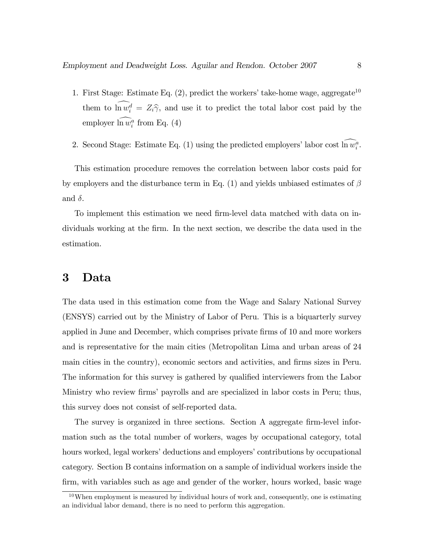- 1. First Stage: Estimate Eq.  $(2)$ , predict the workers' take-home wage, aggregate<sup>10</sup> them to  $\ln w_i^d = Z_i \hat{\gamma}$ , and use it to predict the total labor cost paid by the employer  $\ln w_i^a$  from Eq. (4)
- 2. Second Stage: Estimate Eq. (1) using the predicted employers' labor cost  $\ln w_i^a$ .

This estimation procedure removes the correlation between labor costs paid for by employers and the disturbance term in Eq. (1) and yields unbiased estimates of  $\beta$ and  $\delta$ .

To implement this estimation we need Örm-level data matched with data on individuals working at the Örm. In the next section, we describe the data used in the estimation.

## 3 Data

The data used in this estimation come from the Wage and Salary National Survey (ENSYS) carried out by the Ministry of Labor of Peru. This is a biquarterly survey applied in June and December, which comprises private firms of 10 and more workers and is representative for the main cities (Metropolitan Lima and urban areas of 24 main cities in the country), economic sectors and activities, and Örms sizes in Peru. The information for this survey is gathered by qualified interviewers from the Labor Ministry who review firms' payrolls and are specialized in labor costs in Peru; thus, this survey does not consist of self-reported data.

The survey is organized in three sections. Section A aggregate firm-level information such as the total number of workers, wages by occupational category, total hours worked, legal workers' deductions and employers' contributions by occupational category. Section B contains information on a sample of individual workers inside the firm, with variables such as age and gender of the worker, hours worked, basic wage

 $10$ When employment is measured by individual hours of work and, consequently, one is estimating an individual labor demand, there is no need to perform this aggregation.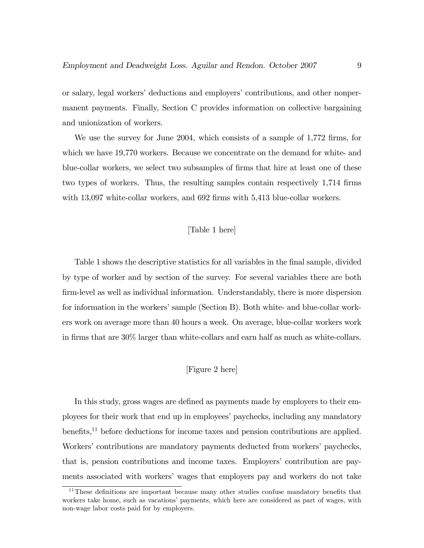or salary, legal workers' deductions and employers' contributions, and other nonpermanent payments. Finally, Section C provides information on collective bargaining and unionization of workers.

We use the survey for June 2004, which consists of a sample of 1,772 firms, for which we have 19,770 workers. Because we concentrate on the demand for white- and blue-collar workers, we select two subsamples of firms that hire at least one of these two types of workers. Thus, the resulting samples contain respectively 1,714 firms with 13,097 white-collar workers, and 692 firms with 5,413 blue-collar workers.

#### [Table 1 here]

Table 1 shows the descriptive statistics for all variables in the final sample, divided by type of worker and by section of the survey. For several variables there are both firm-level as well as individual information. Understandably, there is more dispersion for information in the workers' sample (Section B). Both white- and blue-collar workers work on average more than 40 hours a week. On average, blue-collar workers work in firms that are 30% larger than white-collars and earn half as much as white-collars.

#### [Figure 2 here]

In this study, gross wages are defined as payments made by employers to their employees for their work that end up in employees' paychecks, including any mandatory benefits,<sup>11</sup> before deductions for income taxes and pension contributions are applied. Workers' contributions are mandatory payments deducted from workers' paychecks, that is, pension contributions and income taxes. Employersí contribution are payments associated with workers' wages that employers pay and workers do not take

 $11$ These definitions are important because many other studies confuse mandatory benefits that workers take home, such as vacations' payments, which here are considered as part of wages, with non-wage labor costs paid for by employers.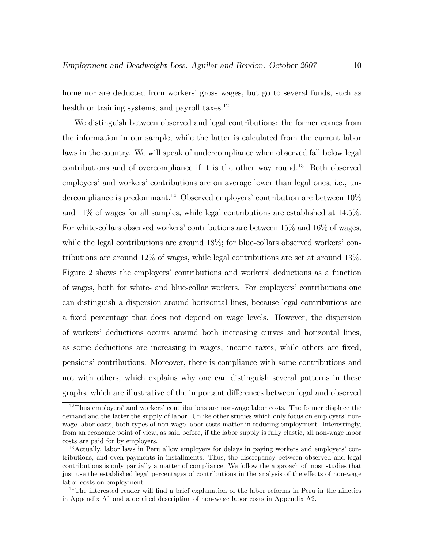home nor are deducted from workers' gross wages, but go to several funds, such as health or training systems, and payroll taxes.<sup>12</sup>

We distinguish between observed and legal contributions: the former comes from the information in our sample, while the latter is calculated from the current labor laws in the country. We will speak of undercompliance when observed fall below legal contributions and of overcompliance if it is the other way round.<sup>13</sup> Both observed employers' and workers' contributions are on average lower than legal ones, i.e., undercompliance is predominant.<sup>14</sup> Observed employers' contribution are between  $10\%$ and 11% of wages for all samples, while legal contributions are established at 14.5%. For white-collars observed workers' contributions are between  $15\%$  and  $16\%$  of wages, while the legal contributions are around  $18\%$ ; for blue-collars observed workers' contributions are around 12% of wages, while legal contributions are set at around 13%. Figure 2 shows the employers' contributions and workers' deductions as a function of wages, both for white- and blue-collar workers. For employers' contributions one can distinguish a dispersion around horizontal lines, because legal contributions are a fixed percentage that does not depend on wage levels. However, the dispersion of workersí deductions occurs around both increasing curves and horizontal lines, as some deductions are increasing in wages, income taxes, while others are fixed, pensionsícontributions. Moreover, there is compliance with some contributions and not with others, which explains why one can distinguish several patterns in these graphs, which are illustrative of the important differences between legal and observed

 $12$ Thus employers' and workers' contributions are non-wage labor costs. The former displace the demand and the latter the supply of labor. Unlike other studies which only focus on employers' nonwage labor costs, both types of non-wage labor costs matter in reducing employment. Interestingly, from an economic point of view, as said before, if the labor supply is fully elastic, all non-wage labor costs are paid for by employers.

<sup>&</sup>lt;sup>13</sup> Actually, labor laws in Peru allow employers for delays in paying workers and employers' contributions, and even payments in installments. Thus, the discrepancy between observed and legal contributions is only partially a matter of compliance. We follow the approach of most studies that just use the established legal percentages of contributions in the analysis of the effects of non-wage labor costs on employment.

 $14$ The interested reader will find a brief explanation of the labor reforms in Peru in the nineties in Appendix A1 and a detailed description of non-wage labor costs in Appendix A2.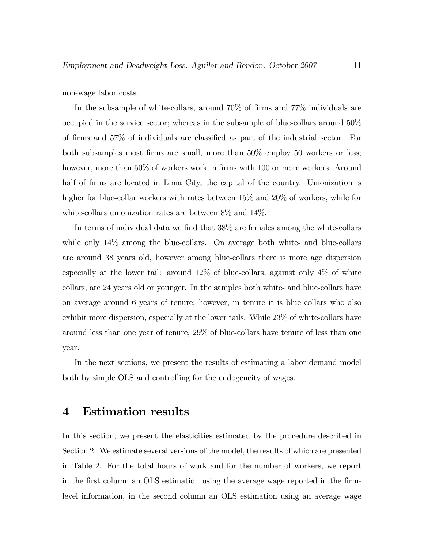non-wage labor costs.

In the subsample of white-collars, around  $70\%$  of firms and  $77\%$  individuals are occupied in the service sector; whereas in the subsample of blue-collars around 50% of firms and  $57\%$  of individuals are classified as part of the industrial sector. For both subsamples most firms are small, more than  $50\%$  employ 50 workers or less; however, more than 50% of workers work in firms with 100 or more workers. Around half of firms are located in Lima City, the capital of the country. Unionization is higher for blue-collar workers with rates between  $15\%$  and  $20\%$  of workers, while for white-collars unionization rates are between 8% and 14%.

In terms of individual data we find that  $38\%$  are females among the white-collars while only  $14\%$  among the blue-collars. On average both white- and blue-collars are around 38 years old, however among blue-collars there is more age dispersion especially at the lower tail: around  $12\%$  of blue-collars, against only  $4\%$  of white collars, are 24 years old or younger. In the samples both white- and blue-collars have on average around 6 years of tenure; however, in tenure it is blue collars who also exhibit more dispersion, especially at the lower tails. While 23% of white-collars have around less than one year of tenure, 29% of blue-collars have tenure of less than one year.

In the next sections, we present the results of estimating a labor demand model both by simple OLS and controlling for the endogeneity of wages.

## 4 Estimation results

In this section, we present the elasticities estimated by the procedure described in Section 2. We estimate several versions of the model, the results of which are presented in Table 2. For the total hours of work and for the number of workers, we report in the first column an OLS estimation using the average wage reported in the firmlevel information, in the second column an OLS estimation using an average wage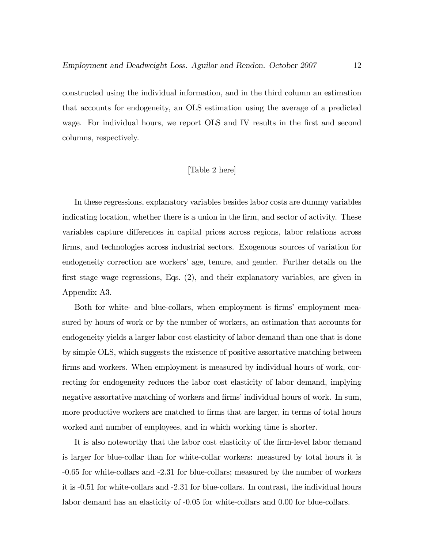constructed using the individual information, and in the third column an estimation that accounts for endogeneity, an OLS estimation using the average of a predicted wage. For individual hours, we report OLS and IV results in the first and second columns, respectively.

#### [Table 2 here]

In these regressions, explanatory variables besides labor costs are dummy variables indicating location, whether there is a union in the firm, and sector of activity. These variables capture differences in capital prices across regions, labor relations across firms, and technologies across industrial sectors. Exogenous sources of variation for endogeneity correction are workers' age, tenure, and gender. Further details on the first stage wage regressions, Eqs.  $(2)$ , and their explanatory variables, are given in Appendix A3.

Both for white- and blue-collars, when employment is firms' employment measured by hours of work or by the number of workers, an estimation that accounts for endogeneity yields a larger labor cost elasticity of labor demand than one that is done by simple OLS, which suggests the existence of positive assortative matching between firms and workers. When employment is measured by individual hours of work, correcting for endogeneity reduces the labor cost elasticity of labor demand, implying negative assortative matching of workers and firms' individual hours of work. In sum, more productive workers are matched to firms that are larger, in terms of total hours worked and number of employees, and in which working time is shorter.

It is also noteworthy that the labor cost elasticity of the firm-level labor demand is larger for blue-collar than for white-collar workers: measured by total hours it is -0.65 for white-collars and -2.31 for blue-collars; measured by the number of workers it is -0.51 for white-collars and -2.31 for blue-collars. In contrast, the individual hours labor demand has an elasticity of -0.05 for white-collars and 0.00 for blue-collars.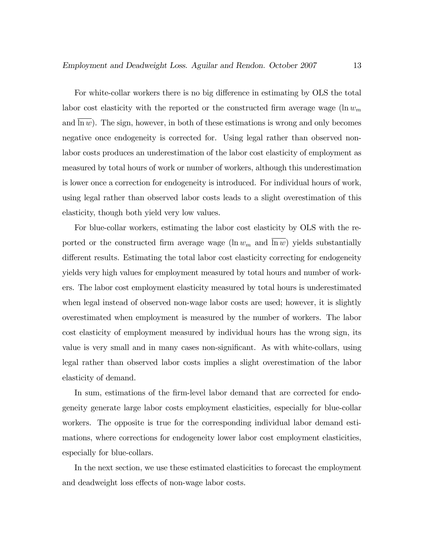For white-collar workers there is no big difference in estimating by OLS the total labor cost elasticity with the reported or the constructed firm average wage (ln  $w_m$ ) and  $\ln w$ ). The sign, however, in both of these estimations is wrong and only becomes negative once endogeneity is corrected for. Using legal rather than observed nonlabor costs produces an underestimation of the labor cost elasticity of employment as measured by total hours of work or number of workers, although this underestimation is lower once a correction for endogeneity is introduced. For individual hours of work, using legal rather than observed labor costs leads to a slight overestimation of this elasticity, though both yield very low values.

For blue-collar workers, estimating the labor cost elasticity by OLS with the reported or the constructed firm average wage  $(\ln w_m$  and  $\ln w)$  yields substantially different results. Estimating the total labor cost elasticity correcting for endogeneity yields very high values for employment measured by total hours and number of workers. The labor cost employment elasticity measured by total hours is underestimated when legal instead of observed non-wage labor costs are used; however, it is slightly overestimated when employment is measured by the number of workers. The labor cost elasticity of employment measured by individual hours has the wrong sign, its value is very small and in many cases non-significant. As with white-collars, using legal rather than observed labor costs implies a slight overestimation of the labor elasticity of demand.

In sum, estimations of the firm-level labor demand that are corrected for endogeneity generate large labor costs employment elasticities, especially for blue-collar workers. The opposite is true for the corresponding individual labor demand estimations, where corrections for endogeneity lower labor cost employment elasticities, especially for blue-collars.

In the next section, we use these estimated elasticities to forecast the employment and deadweight loss effects of non-wage labor costs.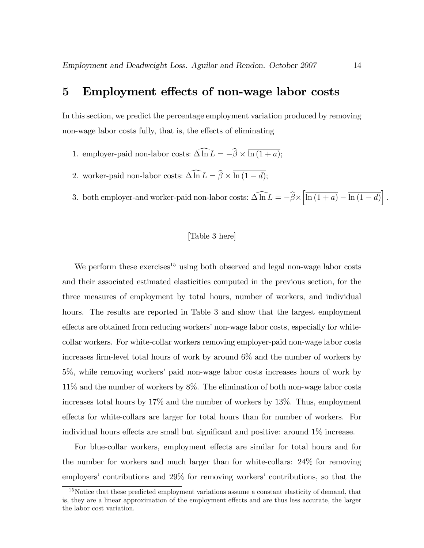## 5 Employment effects of non-wage labor costs

In this section, we predict the percentage employment variation produced by removing non-wage labor costs fully, that is, the effects of eliminating

- 1. employer-paid non-labor costs:  $\Delta \ln L = -\beta \times \ln (1 + a);$
- 2. worker-paid non-labor costs:  $\Delta \ln L = \beta \times \ln (1 d);$
- 3. both employer-and worker-paid non-labor costs:  $\widehat{\Delta \ln L} = -\widehat{\beta} \times \left| \overline{\ln (1 + a)} \overline{\ln (1 d)} \right|$ .

#### [Table 3 here]

We perform these exercises<sup>15</sup> using both observed and legal non-wage labor costs and their associated estimated elasticities computed in the previous section, for the three measures of employment by total hours, number of workers, and individual hours. The results are reported in Table 3 and show that the largest employment effects are obtained from reducing workers' non-wage labor costs, especially for whitecollar workers. For white-collar workers removing employer-paid non-wage labor costs increases firm-level total hours of work by around  $6\%$  and the number of workers by 5%, while removing workersí paid non-wage labor costs increases hours of work by 11% and the number of workers by 8%. The elimination of both non-wage labor costs increases total hours by 17% and the number of workers by 13%. Thus, employment effects for white-collars are larger for total hours than for number of workers. For individual hours effects are small but significant and positive: around  $1\%$  increase.

For blue-collar workers, employment effects are similar for total hours and for the number for workers and much larger than for white-collars: 24% for removing employers' contributions and  $29\%$  for removing workers' contributions, so that the

<sup>&</sup>lt;sup>15</sup>Notice that these predicted employment variations assume a constant elasticity of demand, that is, they are a linear approximation of the employment effects and are thus less accurate, the larger the labor cost variation.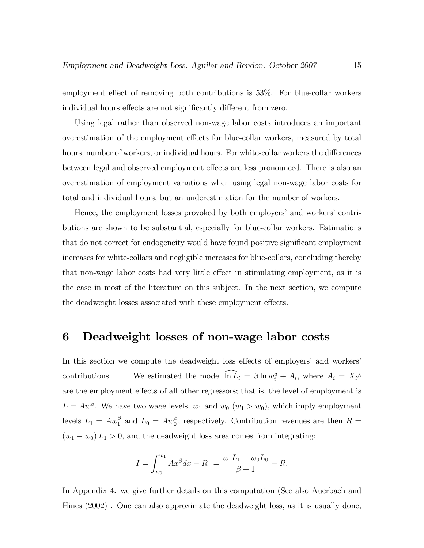employment effect of removing both contributions is 53%. For blue-collar workers individual hours effects are not significantly different from zero.

Using legal rather than observed non-wage labor costs introduces an important overestimation of the employment effects for blue-collar workers, measured by total hours, number of workers, or individual hours. For white-collar workers the differences between legal and observed employment effects are less pronounced. There is also an overestimation of employment variations when using legal non-wage labor costs for total and individual hours, but an underestimation for the number of workers.

Hence, the employment losses provoked by both employers' and workers' contributions are shown to be substantial, especially for blue-collar workers. Estimations that do not correct for endogeneity would have found positive significant employment increases for white-collars and negligible increases for blue-collars, concluding thereby that non-wage labor costs had very little effect in stimulating employment, as it is the case in most of the literature on this subject. In the next section, we compute the deadweight losses associated with these employment effects.

## 6 Deadweight losses of non-wage labor costs

In this section we compute the deadweight loss effects of employers' and workers' contributions. We estimated the model  $\ln \bar{L}_i = \beta \ln w_i^a + A_i$ , where  $A_i = X_i \delta$ are the employment effects of all other regressors; that is, the level of employment is  $L = Aw^{\beta}$ . We have two wage levels,  $w_1$  and  $w_0$   $(w_1 > w_0)$ , which imply employment levels  $L_1 = Aw_1^{\beta}$  and  $L_0 = Aw_0^{\beta}$ , respectively. Contribution revenues are then  $R =$  $(w_1 - w_0) L_1 > 0$ , and the deadweight loss area comes from integrating:

$$
I = \int_{w_0}^{w_1} Ax^{\beta} dx - R_1 = \frac{w_1 L_1 - w_0 L_0}{\beta + 1} - R.
$$

In Appendix 4. we give further details on this computation (See also Auerbach and Hines (2002) . One can also approximate the deadweight loss, as it is usually done,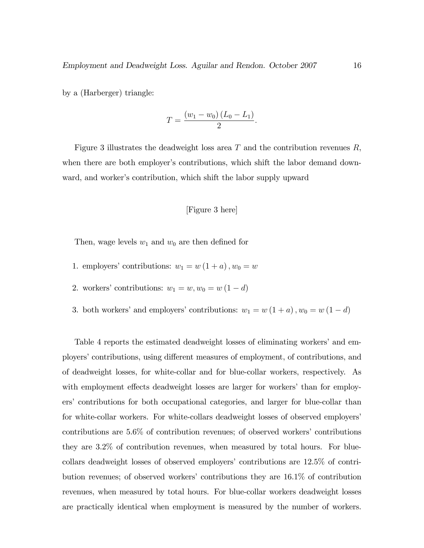by a (Harberger) triangle:

$$
T = \frac{(w_1 - w_0)(L_0 - L_1)}{2}.
$$

Figure 3 illustrates the deadweight loss area  $T$  and the contribution revenues  $R$ , when there are both employer's contributions, which shift the labor demand downward, and worker's contribution, which shift the labor supply upward

#### [Figure 3 here]

Then, wage levels  $w_1$  and  $w_0$  are then defined for

- 1. employers' contributions:  $w_1 = w(1 + a), w_0 = w$
- 2. workers' contributions:  $w_1 = w, w_0 = w(1 d)$
- 3. both workers' and employers' contributions:  $w_1 = w(1 + a)$ ,  $w_0 = w(1 d)$

Table 4 reports the estimated deadweight losses of eliminating workers' and employers' contributions, using different measures of employment, of contributions, and of deadweight losses, for white-collar and for blue-collar workers, respectively. As with employment effects deadweight losses are larger for workers' than for employersí contributions for both occupational categories, and larger for blue-collar than for white-collar workers. For white-collars deadweight losses of observed employers' contributions are  $5.6\%$  of contribution revenues; of observed workers' contributions they are 3.2% of contribution revenues, when measured by total hours. For bluecollars deadweight losses of observed employers' contributions are  $12.5\%$  of contribution revenues; of observed workersí contributions they are 16.1% of contribution revenues, when measured by total hours. For blue-collar workers deadweight losses are practically identical when employment is measured by the number of workers.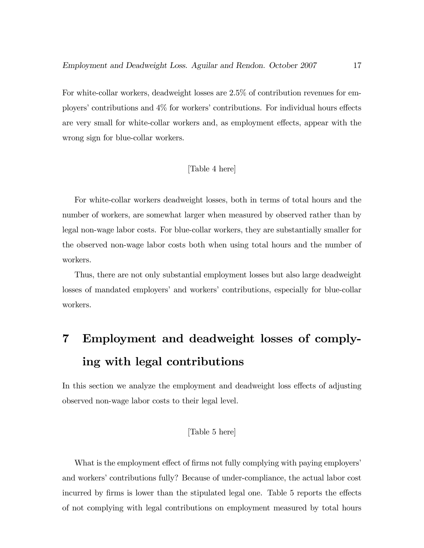For white-collar workers, deadweight losses are 2.5% of contribution revenues for employers' contributions and  $4\%$  for workers' contributions. For individual hours effects are very small for white-collar workers and, as employment effects, appear with the wrong sign for blue-collar workers.

#### [Table 4 here]

For white-collar workers deadweight losses, both in terms of total hours and the number of workers, are somewhat larger when measured by observed rather than by legal non-wage labor costs. For blue-collar workers, they are substantially smaller for the observed non-wage labor costs both when using total hours and the number of workers.

Thus, there are not only substantial employment losses but also large deadweight losses of mandated employers' and workers' contributions, especially for blue-collar workers.

# 7 Employment and deadweight losses of complying with legal contributions

In this section we analyze the employment and deadweight loss effects of adjusting observed non-wage labor costs to their legal level.

#### [Table 5 here]

What is the employment effect of firms not fully complying with paying employers' and workers' contributions fully? Because of under-compliance, the actual labor cost incurred by firms is lower than the stipulated legal one. Table 5 reports the effects of not complying with legal contributions on employment measured by total hours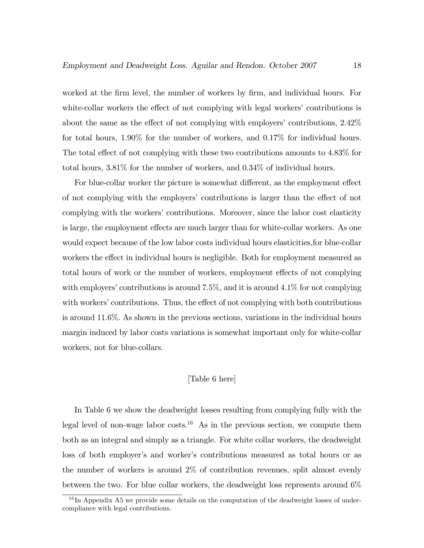worked at the firm level, the number of workers by firm, and individual hours. For white-collar workers the effect of not complying with legal workers' contributions is about the same as the effect of not complying with employers' contributions,  $2.42\%$ for total hours, 1.90% for the number of workers, and 0.17% for individual hours. The total effect of not complying with these two contributions amounts to  $4.83\%$  for total hours, 3.81% for the number of workers, and 0.34% of individual hours.

For blue-collar worker the picture is somewhat different, as the employment effect of not complying with the employers' contributions is larger than the effect of not complying with the workers' contributions. Moreover, since the labor cost elasticity is large, the employment effects are much larger than for white-collar workers. As one would expect because of the low labor costs individual hours elasticities,for blue-collar workers the effect in individual hours is negligible. Both for employment measured as total hours of work or the number of workers, employment effects of not complying with employers' contributions is around  $7.5\%$ , and it is around  $4.1\%$  for not complying with workers' contributions. Thus, the effect of not complying with both contributions is around 11.6%. As shown in the previous sections, variations in the individual hours margin induced by labor costs variations is somewhat important only for white-collar workers, not for blue-collars.

#### [Table 6 here]

In Table 6 we show the deadweight losses resulting from complying fully with the legal level of non-wage labor costs.<sup>16</sup> As in the previous section, we compute them both as an integral and simply as a triangle. For white collar workers, the deadweight loss of both employer's and worker's contributions measured as total hours or as the number of workers is around 2% of contribution revenues, split almost evenly between the two. For blue collar workers, the deadweight loss represents around  $6\%$ 

 $16$  In Appendix A5 we provide some details on the computation of the deadweight losses of undercompliance with legal contributions.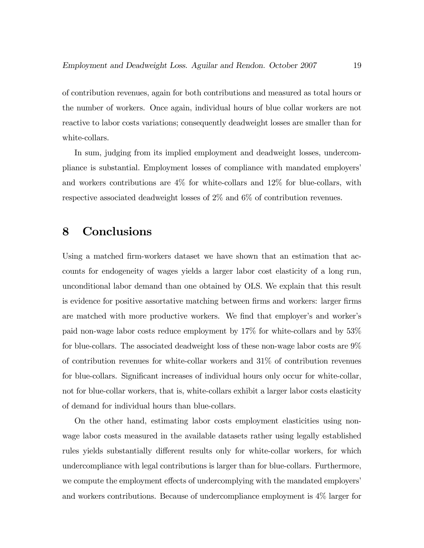of contribution revenues, again for both contributions and measured as total hours or the number of workers. Once again, individual hours of blue collar workers are not reactive to labor costs variations; consequently deadweight losses are smaller than for white-collars.

In sum, judging from its implied employment and deadweight losses, undercompliance is substantial. Employment losses of compliance with mandated employersí and workers contributions are 4% for white-collars and 12% for blue-collars, with respective associated deadweight losses of 2% and 6% of contribution revenues.

## 8 Conclusions

Using a matched firm-workers dataset we have shown that an estimation that accounts for endogeneity of wages yields a larger labor cost elasticity of a long run, unconditional labor demand than one obtained by OLS. We explain that this result is evidence for positive assortative matching between firms and workers: larger firms are matched with more productive workers. We find that employer's and worker's paid non-wage labor costs reduce employment by 17% for white-collars and by 53% for blue-collars. The associated deadweight loss of these non-wage labor costs are 9% of contribution revenues for white-collar workers and 31% of contribution revenues for blue-collars. Significant increases of individual hours only occur for white-collar, not for blue-collar workers, that is, white-collars exhibit a larger labor costs elasticity of demand for individual hours than blue-collars.

On the other hand, estimating labor costs employment elasticities using nonwage labor costs measured in the available datasets rather using legally established rules yields substantially different results only for white-collar workers, for which undercompliance with legal contributions is larger than for blue-collars. Furthermore, we compute the employment effects of undercomplying with the mandated employers' and workers contributions. Because of undercompliance employment is 4% larger for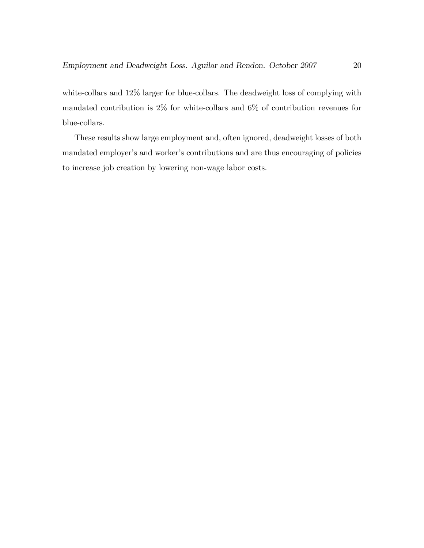white-collars and 12% larger for blue-collars. The deadweight loss of complying with mandated contribution is 2% for white-collars and 6% of contribution revenues for blue-collars.

These results show large employment and, often ignored, deadweight losses of both mandated employer's and worker's contributions and are thus encouraging of policies to increase job creation by lowering non-wage labor costs.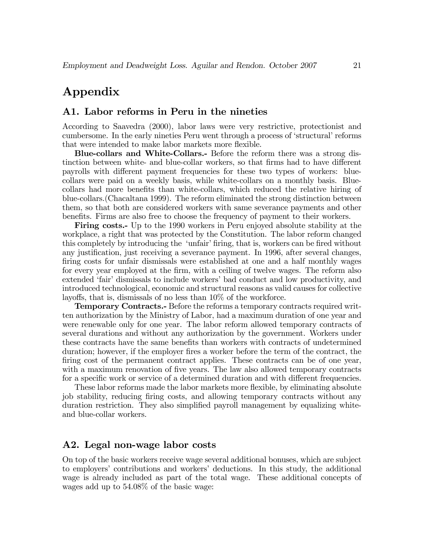# Appendix

#### A1. Labor reforms in Peru in the nineties

According to Saavedra (2000), labor laws were very restrictive, protectionist and cumbersome. In the early nineties Peru went through a process of 'structural' reforms that were intended to make labor markets more flexible.

Blue-collars and White-Collars.- Before the reform there was a strong distinction between white- and blue-collar workers, so that firms had to have different payrolls with different payment frequencies for these two types of workers: bluecollars were paid on a weekly basis, while white-collars on a monthly basis. Bluecollars had more benefits than white-collars, which reduced the relative hiring of blue-collars.(Chacaltana 1999). The reform eliminated the strong distinction between them, so that both are considered workers with same severance payments and other benefits. Firms are also free to choose the frequency of payment to their workers.

Firing costs.- Up to the 1990 workers in Peru enjoyed absolute stability at the workplace, a right that was protected by the Constitution. The labor reform changed this completely by introducing the 'unfair' firing, that is, workers can be fired without any justification, just receiving a severance payment. In 1996, after several changes, firing costs for unfair dismissals were established at one and a half monthly wages for every year employed at the firm, with a ceiling of twelve wages. The reform also extended 'fair' dismissals to include workers' bad conduct and low productivity, and introduced technological, economic and structural reasons as valid causes for collective layoffs, that is, dismissals of no less than  $10\%$  of the workforce.

**Temporary Contracts.**- Before the reforms a temporary contracts required written authorization by the Ministry of Labor, had a maximum duration of one year and were renewable only for one year. The labor reform allowed temporary contracts of several durations and without any authorization by the government. Workers under these contracts have the same benefits than workers with contracts of undetermined duration; however, if the employer fires a worker before the term of the contract, the firing cost of the permanent contract applies. These contracts can be of one year, with a maximum renovation of five years. The law also allowed temporary contracts for a specific work or service of a determined duration and with different frequencies.

These labor reforms made the labor markets more flexible, by eliminating absolute job stability, reducing Öring costs, and allowing temporary contracts without any duration restriction. They also simplified payroll management by equalizing whiteand blue-collar workers.

#### A2. Legal non-wage labor costs

On top of the basic workers receive wage several additional bonuses, which are subject to employersí contributions and workersí deductions. In this study, the additional wage is already included as part of the total wage. These additional concepts of wages add up to 54.08% of the basic wage: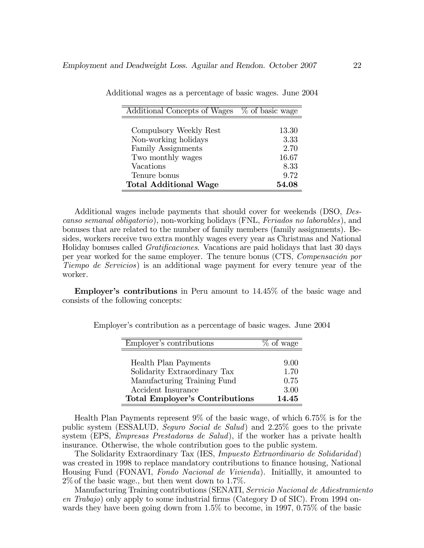| Additional Concepts of Wages | % of basic wage |
|------------------------------|-----------------|
|                              |                 |
| Compulsory Weekly Rest       | 13.30           |
| Non-working holidays         | 3.33            |
| <b>Family Assignments</b>    | 2.70            |
| Two monthly wages            | 16.67           |
| Vacations                    | 8.33            |
| Tenure bonus                 | 9.72            |
| <b>Total Additional Wage</b> | 54.08           |

|  |  |  | Additional wages as a percentage of basic wages. June 2004 |  |  |  |  |
|--|--|--|------------------------------------------------------------|--|--|--|--|
|--|--|--|------------------------------------------------------------|--|--|--|--|

Additional wages include payments that should cover for weekends (DSO, Descanso semanal obligatorio), non-working holidays (FNL, Feriados no laborables), and bonuses that are related to the number of family members (family assignments). Besides, workers receive two extra monthly wages every year as Christmas and National Holiday bonuses called *Gratificaciones*. Vacations are paid holidays that last 30 days per year worked for the same employer. The tenure bonus (CTS, *Compensación por* Tiempo de Servicios) is an additional wage payment for every tenure year of the worker.

**Employer's contributions** in Peru amount to  $14.45\%$  of the basic wage and consists of the following concepts:

| Employer's contributions              | % of wage |
|---------------------------------------|-----------|
|                                       |           |
| Health Plan Payments                  | 9.00      |
| Solidarity Extraordinary Tax          | 1.70      |
| Manufacturing Training Fund           | 0.75      |
| Accident Insurance                    | 3.00      |
| <b>Total Employer's Contributions</b> | 14.45     |

Employer's contribution as a percentage of basic wages. June 2004

Health Plan Payments represent 9% of the basic wage, of which 6.75% is for the public system (ESSALUD, Seguro Social de Salud) and 2.25% goes to the private system (EPS, *Empresas Prestadoras de Salud*), if the worker has a private health insurance. Otherwise, the whole contribution goes to the public system.

The Solidarity Extraordinary Tax (IES, Impuesto Extraordinario de Solidaridad) was created in 1998 to replace mandatory contributions to finance housing, National Housing Fund (FONAVI, Fondo Nacional de Vivienda). Initiallly, it amounted to  $2\%$  of the basic wage., but then went down to 1.7%.

Manufacturing Training contributions (SENATI, Servicio Nacional de Adiestramiento en  $Thabajo$ ) only apply to some industrial firms (Category D of SIC). From 1994 onwards they have been going down from 1.5% to become, in 1997, 0.75% of the basic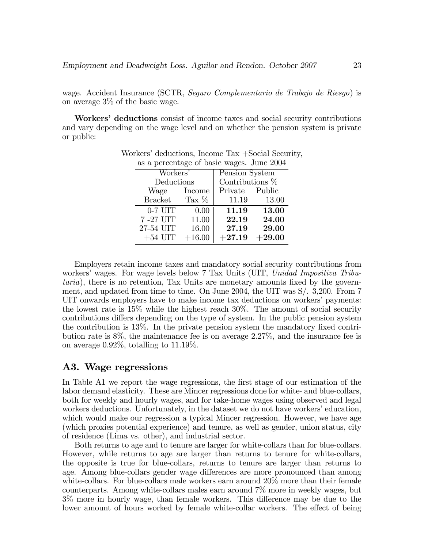wage. Accident Insurance (SCTR, Seguro Complementario de Trabajo de Riesgo) is on average 3% of the basic wage.

Workers' deductions consist of income taxes and social security contributions and vary depending on the wage level and on whether the pension system is private or public:

| as a percentage of basic wages. June 2004 |          |                   |          |  |  |  |  |  |
|-------------------------------------------|----------|-------------------|----------|--|--|--|--|--|
| Workers'                                  |          | Pension System    |          |  |  |  |  |  |
| Deductions                                |          | Contributions $%$ |          |  |  |  |  |  |
| Wage Income                               |          | Private Public    |          |  |  |  |  |  |
| <b>Bracket</b>                            | Tax $%$  | 11.19             | 13.00    |  |  |  |  |  |
| $0-7$ UIT                                 | 0.00     | 11.19             | 13.00    |  |  |  |  |  |
| 7-27 UIT                                  | 11.00    | 22.19             | 24.00    |  |  |  |  |  |
| 27-54 UIT                                 | 16.00    | 27.19             | 29.00    |  |  |  |  |  |
| $+54$ UIT                                 | $+16.00$ | $+27.19$          | $+29.00$ |  |  |  |  |  |

Workers' deductions, Income Tax +Social Security,

Employers retain income taxes and mandatory social security contributions from workers' wages. For wage levels below 7 Tax Units (UIT, Unidad Impositiva Tributaria), there is no retention, Tax Units are monetary amounts fixed by the government, and updated from time to time. On June 2004, the UIT was S/. 3,200. From 7 UIT onwards employers have to make income tax deductions on workers' payments: the lowest rate is 15% while the highest reach 30%. The amount of social security contributions differs depending on the type of system. In the public pension system the contribution is  $13\%$ . In the private pension system the mandatory fixed contribution rate is 8%, the maintenance fee is on average 2.27%, and the insurance fee is on average 0.92%, totalling to 11.19%.

#### A3. Wage regressions

In Table A1 we report the wage regressions, the first stage of our estimation of the labor demand elasticity. These are Mincer regressions done for white- and blue-collars, both for weekly and hourly wages, and for take-home wages using observed and legal workers deductions. Unfortunately, in the dataset we do not have workers' education, which would make our regression a typical Mincer regression. However, we have age (which proxies potential experience) and tenure, as well as gender, union status, city of residence (Lima vs. other), and industrial sector.

Both returns to age and to tenure are larger for white-collars than for blue-collars. However, while returns to age are larger than returns to tenure for white-collars, the opposite is true for blue-collars, returns to tenure are larger than returns to age. Among blue-collars gender wage differences are more pronounced than among white-collars. For blue-collars male workers earn around 20% more than their female counterparts. Among white-collars males earn around 7% more in weekly wages, but 3% more in hourly wage, than female workers. This difference may be due to the lower amount of hours worked by female white-collar workers. The effect of being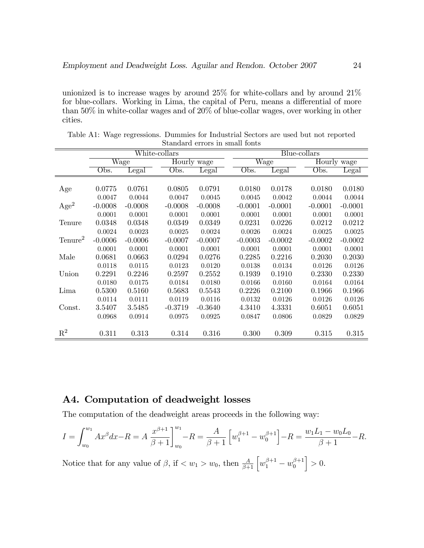unionized is to increase wages by around 25% for white-collars and by around 21% for blue-collars. Working in Lima, the capital of Peru, means a differential of more than 50% in white-collar wages and of 20% of blue-collar wages, over working in other cities.

|                     | White-collars |                          |           |             |  | Blue-collars |           |  |             |           |
|---------------------|---------------|--------------------------|-----------|-------------|--|--------------|-----------|--|-------------|-----------|
|                     |               | $\overline{\text{Wage}}$ |           | Hourly wage |  | Wage         |           |  | Hourly wage |           |
|                     | Obs.          | $_{\rm Legal}$           | Obs.      | Legal       |  | Obs.         | Legal     |  | Obs.        | Legal     |
|                     |               |                          |           |             |  |              |           |  |             |           |
| Age                 | 0.0775        | 0.0761                   | 0.0805    | 0.0791      |  | 0.0180       | 0.0178    |  | 0.0180      | 0.0180    |
|                     | 0.0047        | 0.0044                   | 0.0047    | 0.0045      |  | 0.0045       | 0.0042    |  | 0.0044      | 0.0044    |
| Age <sup>2</sup>    | $-0.0008$     | $-0.0008$                | $-0.0008$ | $-0.0008$   |  | $-0.0001$    | $-0.0001$ |  | $-0.0001$   | $-0.0001$ |
|                     | 0.0001        | 0.0001                   | 0.0001    | 0.0001      |  | 0.0001       | 0.0001    |  | 0.0001      | 0.0001    |
| Tenure              | 0.0348        | 0.0348                   | 0.0349    | 0.0349      |  | 0.0231       | 0.0226    |  | 0.0212      | 0.0212    |
|                     | 0.0024        | 0.0023                   | 0.0025    | 0.0024      |  | 0.0026       | 0.0024    |  | 0.0025      | 0.0025    |
| Tenure <sup>2</sup> | $-0.0006$     | $-0.0006$                | $-0.0007$ | $-0.0007$   |  | $-0.0003$    | $-0.0002$ |  | $-0.0002$   | $-0.0002$ |
|                     | 0.0001        | 0.0001                   | 0.0001    | 0.0001      |  | 0.0001       | 0.0001    |  | 0.0001      | 0.0001    |
| Male                | 0.0681        | 0.0663                   | 0.0294    | 0.0276      |  | 0.2285       | 0.2216    |  | 0.2030      | 0.2030    |
|                     | 0.0118        | 0.0115                   | 0.0123    | 0.0120      |  | 0.0138       | 0.0134    |  | 0.0126      | 0.0126    |
| Union               | 0.2291        | 0.2246                   | 0.2597    | 0.2552      |  | 0.1939       | 0.1910    |  | 0.2330      | 0.2330    |
|                     | 0.0180        | 0.0175                   | 0.0184    | 0.0180      |  | 0.0166       | 0.0160    |  | 0.0164      | 0.0164    |
| Lima                | 0.5300        | 0.5160                   | 0.5683    | 0.5543      |  | 0.2226       | 0.2100    |  | 0.1966      | 0.1966    |
|                     | 0.0114        | 0.0111                   | 0.0119    | 0.0116      |  | 0.0132       | 0.0126    |  | 0.0126      | 0.0126    |
| Const.              | 3.5407        | 3.5485                   | $-0.3719$ | $-0.3640$   |  | 4.3410       | 4.3331    |  | 0.6051      | 0.6051    |
|                     | 0.0968        | 0.0914                   | 0.0975    | 0.0925      |  | 0.0847       | 0.0806    |  | 0.0829      | 0.0829    |
|                     |               |                          |           |             |  |              |           |  |             |           |
| $\mathrm{R}^2$      | 0.311         | 0.313                    | 0.314     | 0.316       |  | 0.300        | 0.309     |  | 0.315       | 0.315     |

Table A1: Wage regressions. Dummies for Industrial Sectors are used but not reported Standard errors in small fonts

## A4. Computation of deadweight losses

The computation of the deadweight areas proceeds in the following way:

$$
I = \int_{w_0}^{w_1} Ax^{\beta} dx - R = A \frac{x^{\beta+1}}{\beta+1} \bigg|_{w_0}^{w_1} - R = \frac{A}{\beta+1} \left[ w_1^{\beta+1} - w_0^{\beta+1} \right] - R = \frac{w_1 L_1 - w_0 L_0}{\beta+1} - R.
$$

Notice that for any value of  $\beta$ , if  $\langle w_1 \rangle w_0$ , then  $\frac{A}{\beta+1} \left[ w_1^{\beta+1} - w_0^{\beta+1} \right]$  $\boldsymbol{0}$  $\big] > 0.$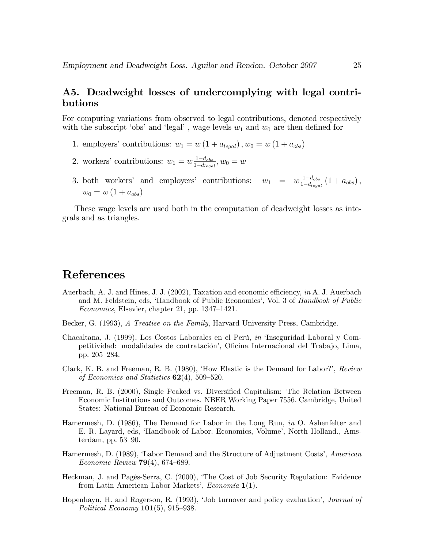### A5. Deadweight losses of undercomplying with legal contributions

For computing variations from observed to legal contributions, denoted respectively with the subscript 'obs' and 'legal', wage levels  $w_1$  and  $w_0$  are then defined for

- 1. employers' contributions:  $w_1 = w(1 + a_{\text{legal}}), w_0 = w(1 + a_{\text{obs}})$
- 2. workers' contributions:  $w_1 = w \frac{1-d_{obs}}{1-d_{loss}}$  $\frac{1-d_{obs}}{1-d_{legal}}, w_0=w$
- 3. both workers' and employers' contributions:  $w_1 = w \frac{1-d_{obs}}{1-d_{loss}}$  $\frac{1-d_{obs}}{1-d_{legal}}(1+a_{obs}),$  $w_0 = w(1 + a_{obs})$

These wage levels are used both in the computation of deadweight losses as integrals and as triangles.

## References

- Auerbach, A. J. and Hines, J. J.  $(2002)$ , Taxation and economic efficiency, in A. J. Auerbach and M. Feldstein, eds, 'Handbook of Public Economics', Vol. 3 of Handbook of Public  $Economics, Elsevier, chapter 21, pp. 1347–1421.$
- Becker, G. (1993), A Treatise on the Family, Harvard University Press, Cambridge.
- Chacaltana, J. (1999), Los Costos Laborales en el Perú, in 'Inseguridad Laboral y Competitividad: modalidades de contratación', Oficina Internacional del Trabajo, Lima, pp. 205–284.
- Clark, K. B. and Freeman, R. B. (1980), 'How Elastic is the Demand for Labor?', Review of Economics and Statistics  $62(4)$ , 509–520.
- Freeman, R. B. (2000), Single Peaked vs. Diversified Capitalism: The Relation Between Economic Institutions and Outcomes. NBER Working Paper 7556. Cambridge, United States: National Bureau of Economic Research.
- Hamermesh, D. (1986), The Demand for Labor in the Long Run, in O. Ashenfelter and E. R. Layard, eds, 'Handbook of Labor. Economics, Volume', North Holland., Amsterdam, pp.  $53-90$ .
- Hamermesh, D. (1989), 'Labor Demand and the Structure of Adjustment Costs', American Economic Review  $79(4)$ , 674–689.
- Heckman, J. and Pagés-Serra, C. (2000), 'The Cost of Job Security Regulation: Evidence from Latin American Labor Markets', *Economía*  $\mathbf{1}(1)$ .
- Hopenhayn, H. and Rogerson, R. (1993), 'Job turnover and policy evaluation', *Journal of* Political Economy  $101(5)$ , 915–938.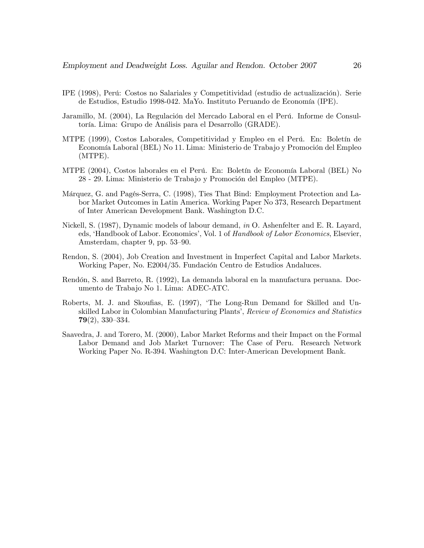- IPE (1998), Perú: Costos no Salariales y Competitividad (estudio de actualización). Serie de Estudios, Estudio 1998-042. MaYo. Instituto Peruando de Economía (IPE).
- Jaramillo, M. (2004), La Regulación del Mercado Laboral en el Perú. Informe de Consultoría. Lima: Grupo de Análisis para el Desarrollo (GRADE).
- MTPE (1999), Costos Laborales, Competitividad y Empleo en el Perú. En: Boletín de Economía Laboral (BEL) No 11. Lima: Ministerio de Trabajo y Promoción del Empleo (MTPE).
- MTPE (2004), Costos laborales en el Perú. En: Boletín de Economía Laboral (BEL) No 28 - 29. Lima: Ministerio de Trabajo y Promoción del Empleo (MTPE).
- Márquez, G. and Pagés-Serra, C. (1998), Ties That Bind: Employment Protection and Labor Market Outcomes in Latin America. Working Paper No 373, Research Department of Inter American Development Bank. Washington D.C.
- Nickell, S. (1987), Dynamic models of labour demand, in O. Ashenfelter and E. R. Layard, eds, 'Handbook of Labor. Economics', Vol. 1 of Handbook of Labor Economics, Elsevier, Amsterdam, chapter 9, pp.  $53-90$ .
- Rendon, S. (2004), Job Creation and Investment in Imperfect Capital and Labor Markets. Working Paper, No. E2004/35. Fundación Centro de Estudios Andaluces.
- Rendón, S. and Barreto, R. (1992), La demanda laboral en la manufactura peruana. Documento de Trabajo No 1. Lima: ADEC-ATC.
- Roberts, M. J. and Skoufias, E. (1997), 'The Long-Run Demand for Skilled and Unskilled Labor in Colombian Manufacturing Plants', Review of Economics and Statistics  $79(2)$ , 330–334.
- Saavedra, J. and Torero, M. (2000), Labor Market Reforms and their Impact on the Formal Labor Demand and Job Market Turnover: The Case of Peru. Research Network Working Paper No. R-394. Washington D.C: Inter-American Development Bank.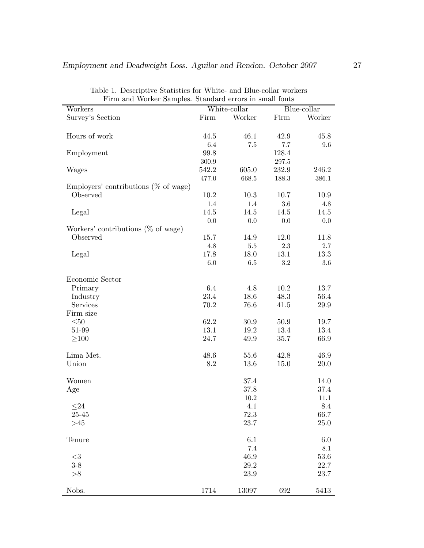|                                          | Firm and Worker Samples. Standard errors in small fonts |              |           |             |  |  |  |
|------------------------------------------|---------------------------------------------------------|--------------|-----------|-------------|--|--|--|
| Workers                                  |                                                         | White-collar |           | Blue-collar |  |  |  |
| Survey's Section                         | Firm                                                    | Worker       | Firm      | Worker      |  |  |  |
| Hours of work                            | 44.5                                                    | 46.1         | 42.9      | 45.8        |  |  |  |
|                                          | 6.4                                                     | $7.5\,$      | 7.7       | 9.6         |  |  |  |
| Employment                               | 99.8                                                    |              | 128.4     |             |  |  |  |
|                                          | $300.9\,$                                               |              | $297.5\,$ |             |  |  |  |
| Wages                                    | 542.2                                                   | 605.0        | 232.9     | 246.2       |  |  |  |
|                                          | 477.0                                                   | 668.5        | 188.3     | 386.1       |  |  |  |
| Employers' contributions ( $\%$ of wage) |                                                         |              |           |             |  |  |  |
| Observed                                 | $10.2\,$                                                | 10.3         | 10.7      | 10.9        |  |  |  |
|                                          | 1.4                                                     | 1.4          | $3.6\,$   | 4.8         |  |  |  |
| Legal                                    | 14.5                                                    | 14.5         | 14.5      | 14.5        |  |  |  |
|                                          | 0.0                                                     | 0.0          | 0.0       | 0.0         |  |  |  |
| Workers' contributions ( $\%$ of wage)   |                                                         |              |           |             |  |  |  |
| Observed                                 | 15.7                                                    | 14.9         | 12.0      | 11.8        |  |  |  |
|                                          | 4.8                                                     | $5.5\,$      | $2.3\,$   | 2.7         |  |  |  |
| Legal                                    | 17.8                                                    | 18.0         | 13.1      | 13.3        |  |  |  |
|                                          | $6.0\,$                                                 | $6.5\,$      | $3.2\,$   | 3.6         |  |  |  |
|                                          |                                                         |              |           |             |  |  |  |
| Economic Sector                          |                                                         |              |           |             |  |  |  |
| Primary                                  | 6.4                                                     | 4.8          | 10.2      | 13.7        |  |  |  |
| Industry                                 | 23.4                                                    | 18.6         | 48.3      | 56.4        |  |  |  |
| Services                                 | 70.2                                                    | 76.6         | 41.5      | 29.9        |  |  |  |
| Firm size                                |                                                         |              |           |             |  |  |  |
| $\leq\!\!50$                             | 62.2                                                    | 30.9         | 50.9      | 19.7        |  |  |  |
| 51-99                                    | 13.1                                                    | 19.2         | 13.4      | 13.4        |  |  |  |
| $\geq100$                                | 24.7                                                    | 49.9         | 35.7      | 66.9        |  |  |  |
| Lima Met.                                | 48.6                                                    | 55.6         | 42.8      | 46.9        |  |  |  |
| Union                                    | 8.2                                                     | 13.6         | 15.0      | 20.0        |  |  |  |
|                                          |                                                         |              |           |             |  |  |  |
| Women                                    |                                                         | 37.4         |           | 14.0        |  |  |  |
| Age                                      |                                                         | 37.8         |           | 37.4        |  |  |  |
|                                          |                                                         | 10.2         |           | $11.1\,$    |  |  |  |
| $\leq$ 24                                |                                                         | 4.1          |           | 8.4         |  |  |  |
| $25 - 45$                                |                                                         | 72.3         |           | 66.7        |  |  |  |
| >45                                      |                                                         | 23.7         |           | $25.0\,$    |  |  |  |
| Tenure                                   |                                                         | 6.1          |           | $6.0\,$     |  |  |  |
|                                          |                                                         | $7.4\,$      |           | $8.1\,$     |  |  |  |
| $<$ 3                                    |                                                         | 46.9         |           | $53.6\,$    |  |  |  |
| $3 - 8$                                  |                                                         | 29.2         |           | 22.7        |  |  |  |
| >8                                       |                                                         | 23.9         |           | 23.7        |  |  |  |
| Nobs.                                    | 1714                                                    | 13097        | 692       | 5413        |  |  |  |

Table 1. Descriptive Statistics for White- and Blue-collar workers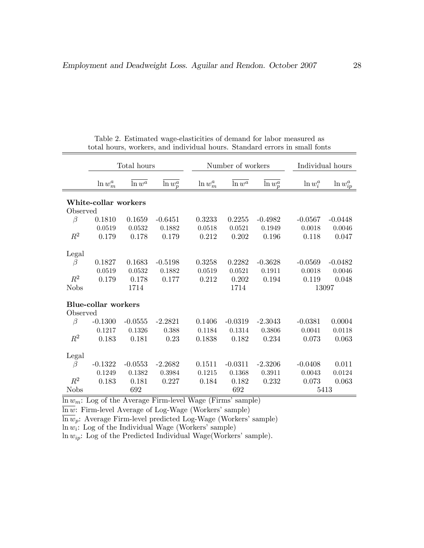|             | Total hours                |           |             |             | Number of workers |             | Individual hours |                |  |
|-------------|----------------------------|-----------|-------------|-------------|-------------------|-------------|------------------|----------------|--|
|             | $\ln w_m^a$                | $\ln w^a$ | $\ln w_p^a$ | $\ln w_m^a$ | $\ln w^a$         | $\ln w_p^a$ | $\ln w_i^a$      | $\ln w_{ip}^a$ |  |
|             | White-collar workers       |           |             |             |                   |             |                  |                |  |
| Observed    |                            |           |             |             |                   |             |                  |                |  |
| $\beta$     | 0.1810                     | 0.1659    | $-0.6451$   | 0.3233      | 0.2255            | $-0.4982$   | $-0.0567$        | $-0.0448$      |  |
|             | 0.0519                     | 0.0532    | 0.1882      | 0.0518      | 0.0521            | 0.1949      | 0.0018           | 0.0046         |  |
| $R^2$       | 0.179                      | 0.178     | 0.179       | 0.212       | 0.202             | 0.196       | 0.118            | 0.047          |  |
| Legal       |                            |           |             |             |                   |             |                  |                |  |
| $\beta$     | 0.1827                     | 0.1683    | $-0.5198$   | 0.3258      | 0.2282            | $-0.3628$   | $-0.0569$        | $-0.0482$      |  |
|             | 0.0519                     | 0.0532    | 0.1882      | 0.0519      | 0.0521            | 0.1911      | 0.0018           | 0.0046         |  |
| $R^2$       | 0.179                      | 0.178     | 0.177       | 0.212       | 0.202             | 0.194       | 0.119            | 0.048          |  |
| <b>Nobs</b> |                            | 1714      |             |             | 1714              |             |                  | 13097          |  |
|             |                            |           |             |             |                   |             |                  |                |  |
|             | <b>Blue-collar workers</b> |           |             |             |                   |             |                  |                |  |
| Observed    |                            |           |             |             |                   |             |                  |                |  |
| $\beta$     | $-0.1300$                  | $-0.0555$ | $-2.2821$   | 0.1406      | $-0.0319$         | $-2.3043$   | $-0.0381$        | 0.0004         |  |
|             | 0.1217                     | 0.1326    | 0.388       | 0.1184      | 0.1314            | 0.3806      | 0.0041           | 0.0118         |  |
| $R^2$       | 0.183                      | 0.181     | 0.23        | 0.1838      | 0.182             | 0.234       | 0.073            | 0.063          |  |
| Legal       |                            |           |             |             |                   |             |                  |                |  |
| β           | $-0.1322$                  | $-0.0553$ | $-2.2682$   | 0.1511      | $-0.0311$         | $-2.3206$   | $-0.0408$        | 0.011          |  |
|             | 0.1249                     | 0.1382    | 0.3984      | 0.1215      | 0.1368            | 0.3911      | 0.0043           | 0.0124         |  |
| $R^2$       | 0.183                      | 0.181     | 0.227       | 0.184       | 0.182             | 0.232       | 0.073            | 0.063          |  |
| <b>Nobs</b> |                            | 692       |             |             | 692               |             |                  | 5413           |  |

Table 2. Estimated wage-elasticities of demand for labor measured as total hours, workers, and individual hours. Standard errors in small fonts

 $\overline{\ln w_m}$ : Log of the Average Firm-level Wage (Firms' sample)

 $\overline{\ln w}$ : Firm-level Average of Log-Wage (Workers' sample)

 $\overline{\ln w}_p$ : Average Firm-level predicted Log-Wage (Workers' sample)

 $\ln w_i$ : Log of the Individual Wage (Workers' sample)

ln  $w_{ip}$ : Log of the Predicted Individual Wage(Workers' sample).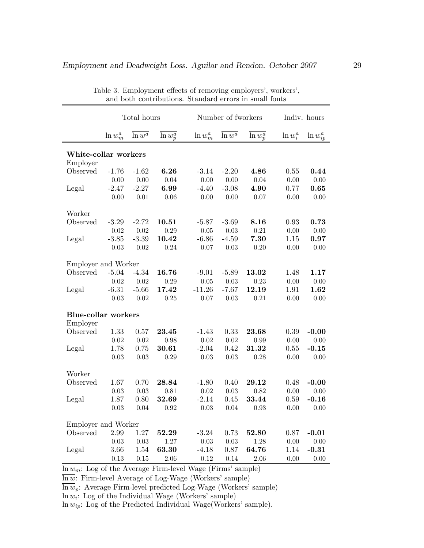|                                  | Total hours |                      |                        |             | Number of fworkers   |                        |             | Indiv. hours   |  |  |
|----------------------------------|-------------|----------------------|------------------------|-------------|----------------------|------------------------|-------------|----------------|--|--|
|                                  | $\ln w_m^a$ | $\overline{\ln w^a}$ | $\overline{\ln w_p^a}$ | $\ln w_m^a$ | $\overline{\ln w^a}$ | $\overline{\ln w_p^a}$ | $\ln w_i^a$ | $\ln w_{ip}^a$ |  |  |
| White-collar workers<br>Employer |             |                      |                        |             |                      |                        |             |                |  |  |
| Observed                         | $-1.76$     | $-1.62$              | $\bf{6.26}$            | $-3.14$     | $-2.20$              | $\boldsymbol{4.86}$    | 0.55        | 0.44           |  |  |
|                                  | 0.00        | 0.00                 | 0.04                   | 0.00        | 0.00                 | 0.04                   | 0.00        | 0.00           |  |  |
| Legal                            | $-2.47$     | $-2.27$              | 6.99                   | $-4.40$     | $-3.08$              | 4.90                   | 0.77        | 0.65           |  |  |
|                                  | 0.00        | 0.01                 | 0.06                   | 0.00        | 0.00                 | 0.07                   | $0.00\,$    | 0.00           |  |  |
| Worker                           |             |                      |                        |             |                      |                        |             |                |  |  |
| Observed                         | $-3.29$     | $-2.72$              | 10.51                  | $-5.87$     | $-3.69$              | 8.16                   | 0.93        | 0.73           |  |  |
|                                  | 0.02        | $0.02\,$             | 0.29                   | 0.05        | 0.03                 | 0.21                   | 0.00        | 0.00           |  |  |
| Legal                            | $-3.85$     | $-3.39$              | 10.42                  | $-6.86$     | $-4.59$              | 7.30                   | 1.15        | 0.97           |  |  |
|                                  | 0.03        | $0.02\,$             | 0.24                   | 0.07        | 0.03                 | 0.20                   | $0.00\,$    | 0.00           |  |  |
| Employer and Worker              |             |                      |                        |             |                      |                        |             |                |  |  |
| Observed                         | $-5.04$     | $-4.34$              | 16.76                  | $-9.01$     | $-5.89$              | 13.02                  | 1.48        | 1.17           |  |  |
|                                  | 0.02        | 0.02                 | 0.29                   | 0.05        | 0.03                 | 0.23                   | 0.00        | 0.00           |  |  |
| Legal                            | $-6.31$     | $-5.66$              | 17.42                  | $-11.26$    | $-7.67$              | 12.19                  | 1.91        | 1.62           |  |  |
|                                  | 0.03        | $0.02\,$             | 0.25                   | 0.07        | 0.03                 | 0.21                   | 0.00        | 0.00           |  |  |
| <b>Blue-collar workers</b>       |             |                      |                        |             |                      |                        |             |                |  |  |
| Employer                         |             |                      |                        |             |                      |                        |             |                |  |  |
| Observed                         | 1.33        | 0.57                 | 23.45                  | $-1.43$     | 0.33                 | 23.68                  | 0.39        | $-0.00$        |  |  |
|                                  | 0.02        | $0.02\,$             | 0.98                   | 0.02        | 0.02                 | 0.99                   | 0.00        | 0.00           |  |  |
| Legal                            | 1.78        | 0.75                 | 30.61                  | $-2.04$     | 0.42                 | 31.32                  | 0.55        | $-0.15$        |  |  |
|                                  | 0.03        | 0.03                 | 0.29                   | 0.03        | 0.03                 | 0.28                   | 0.00        | 0.00           |  |  |
| Worker                           |             |                      |                        |             |                      |                        |             |                |  |  |
| Observed                         | 1.67        | 0.70                 | 28.84                  | $-1.80$     | 0.40                 | 29.12                  | 0.48        | $-0.00$        |  |  |
|                                  | 0.03        | $0.03\,$             | 0.81                   | 0.02        | $0.03\,$             | 0.82                   | $0.00\,$    | 0.00           |  |  |
| Legal                            | 1.87        | 0.80                 | 32.69                  | $-2.14$     | 0.45                 | 33.44                  | 0.59        | $-0.16$        |  |  |
|                                  | 0.03        | $0.04\,$             | 0.92                   | 0.03        | $0.04\,$             | 0.93                   | $0.00\,$    | 0.00           |  |  |
| Employer and Worker              |             |                      |                        |             |                      |                        |             |                |  |  |
| Observed                         | 2.99        | $1.27\,$             | 52.29                  | $-3.24$     | 0.73                 | 52.80                  | 0.87        | $-0.01$        |  |  |
|                                  | 0.03        | $0.03\,$             | 1.27                   | 0.03        | $0.03\,$             | 1.28                   | 0.00        | 0.00           |  |  |
| Legal                            | 3.66        | 1.54                 | 63.30                  | $-4.18$     | 0.87                 | 64.76                  | 1.14        | $-0.31$        |  |  |
|                                  | 0.13        | 0.15                 | 2.06                   | 0.12        | 0.14                 | 2.06                   | 0.00        | 0.00           |  |  |

Table 3. Employment effects of removing employers', workers', and both contributions. Standard errors in small fonts

 $\overline{\ln w_m}$ : Log of the Average Firm-level Wage (Firms' sample)

 $\overline{\ln w}$ : Firm-level Average of Log-Wage (Workers' sample)

 $\overline{\ln w_p}$ : Average Firm-level predicted Log-Wage (Workers' sample)

 $\ln w_i$ : Log of the Individual Wage (Workers' sample)

 $\ln w_{ip}$ : Log of the Predicted Individual Wage(Workers' sample).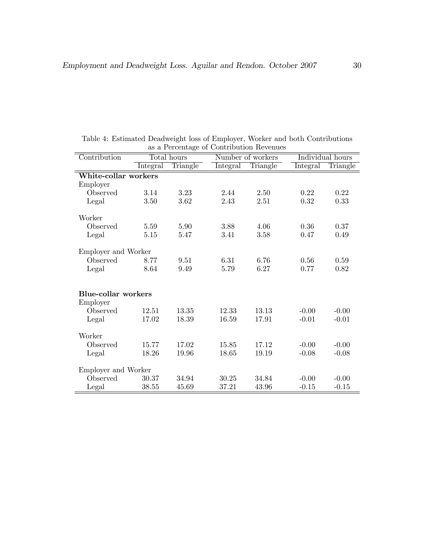| Contribution               |          | Total hours |          | Number of workers |          | Individual hours |
|----------------------------|----------|-------------|----------|-------------------|----------|------------------|
|                            | Integral | Triangle    | Integral | Triangle          | Integral | Triangle         |
| White-collar workers       |          |             |          |                   |          |                  |
| Employer                   |          |             |          |                   |          |                  |
| Observed                   | 3.14     | 3.23        | 2.44     | 2.50              | 0.22     | 0.22             |
| Legal                      | 3.50     | 3.62        | 2.43     | 2.51              | 0.32     | 0.33             |
| Worker                     |          |             |          |                   |          |                  |
| Observed                   | 5.59     | 5.90        | 3.88     | 4.06              | 0.36     | 0.37             |
| Legal                      | 5.15     | 5.47        | 3.41     | 3.58              | 0.47     | 0.49             |
| Employer and Worker        |          |             |          |                   |          |                  |
| Observed                   | 8.77     | 9.51        | 6.31     | 6.76              | 0.56     | 0.59             |
| Legal                      | 8.64     | 9.49        | 5.79     | 6.27              | 0.77     | 0.82             |
| <b>Blue-collar workers</b> |          |             |          |                   |          |                  |
| Employer                   |          |             |          |                   |          |                  |
| Observed                   | 12.51    | 13.35       | 12.33    | 13.13             | $-0.00$  | $-0.00$          |
| Legal                      | 17.02    | 18.39       | 16.59    | 17.91             | $-0.01$  | $-0.01$          |
| Worker                     |          |             |          |                   |          |                  |
| Observed                   | 15.77    | 17.02       | 15.85    | 17.12             | $-0.00$  | $-0.00$          |
| Legal                      | 18.26    | 19.96       | 18.65    | 19.19             | $-0.08$  | $-0.08$          |
| Employer and Worker        |          |             |          |                   |          |                  |
| Observed                   | 30.37    | 34.94       | 30.25    | 34.84             | $-0.00$  | $-0.00$          |
| Legal                      | 38.55    | 45.69       | 37.21    | 43.96             | $-0.15$  | $-0.15$          |

Table 4: Estimated Deadweight loss of Employer, Worker and both Contributions as a Percentage of Contribution Revenues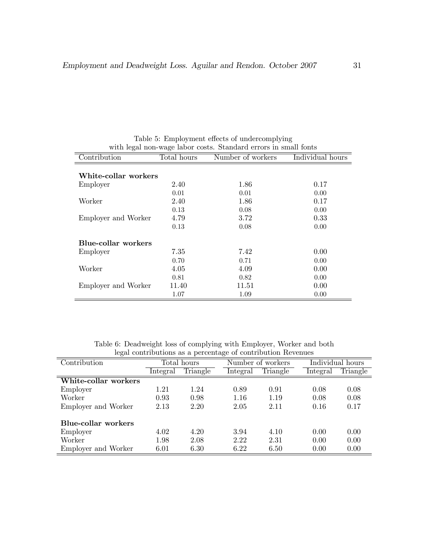| with legal non-wage labor costs. Standard errors in small fonts |             |                   |                  |  |  |  |  |  |  |
|-----------------------------------------------------------------|-------------|-------------------|------------------|--|--|--|--|--|--|
| Contribution                                                    | Total hours | Number of workers | Individual hours |  |  |  |  |  |  |
|                                                                 |             |                   |                  |  |  |  |  |  |  |
| White-collar workers                                            |             |                   |                  |  |  |  |  |  |  |
| Employer                                                        | 2.40        | 1.86              | 0.17             |  |  |  |  |  |  |
|                                                                 | 0.01        | 0.01              | 0.00             |  |  |  |  |  |  |
| Worker                                                          | 2.40        | 1.86              | 0.17             |  |  |  |  |  |  |
|                                                                 | 0.13        | 0.08              | 0.00             |  |  |  |  |  |  |
| Employer and Worker                                             | 4.79        | 3.72              | 0.33             |  |  |  |  |  |  |
|                                                                 | 0.13        | 0.08              | 0.00             |  |  |  |  |  |  |
| Blue-collar workers                                             |             |                   |                  |  |  |  |  |  |  |
| Employer                                                        | 7.35        | 7.42              | 0.00             |  |  |  |  |  |  |
|                                                                 | 0.70        | 0.71              | 0.00             |  |  |  |  |  |  |
| Worker                                                          | 4.05        | 4.09              | 0.00             |  |  |  |  |  |  |
|                                                                 | 0.81        | 0.82              | 0.00             |  |  |  |  |  |  |
| Employer and Worker                                             | 11.40       | 11.51             | 0.00             |  |  |  |  |  |  |
|                                                                 | 1.07        | 1.09              | 0.00             |  |  |  |  |  |  |

Table 5: Employment effects of undercomplying

Table 6: Deadweight loss of complying with Employer, Worker and both legal contributions as a percentage of contribution Revenues

| Contribution               | Total hours |          |          | Number of workers |          | Individual hours |  |  |  |  |
|----------------------------|-------------|----------|----------|-------------------|----------|------------------|--|--|--|--|
|                            | Integral    | Triangle | Integral | Triangle          | Integral | Triangle         |  |  |  |  |
| White-collar workers       |             |          |          |                   |          |                  |  |  |  |  |
| Employer                   | 1.21        | 1.24     | 0.89     | 0.91              | 0.08     | 0.08             |  |  |  |  |
| Worker                     | 0.93        | 0.98     | 1.16     | 1.19              | 0.08     | 0.08             |  |  |  |  |
| Employer and Worker        | 2.13        | 2.20     | 2.05     | 2.11              | 0.16     | 0.17             |  |  |  |  |
| <b>Blue-collar workers</b> |             |          |          |                   |          |                  |  |  |  |  |
| Employer                   | 4.02        | 4.20     | 3.94     | 4.10              | 0.00     | 0.00             |  |  |  |  |
| Worker                     | 1.98        | 2.08     | 2.22     | 2.31              | 0.00     | 0.00             |  |  |  |  |
| Employer and Worker        | 6.01        | 6.30     | 6.22     | 6.50              | 0.00     | 0.00             |  |  |  |  |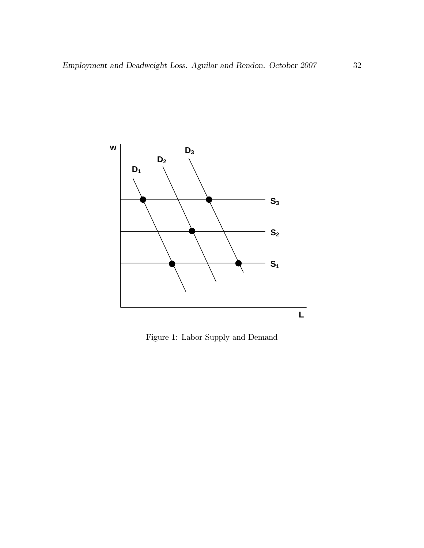

Figure 1: Labor Supply and Demand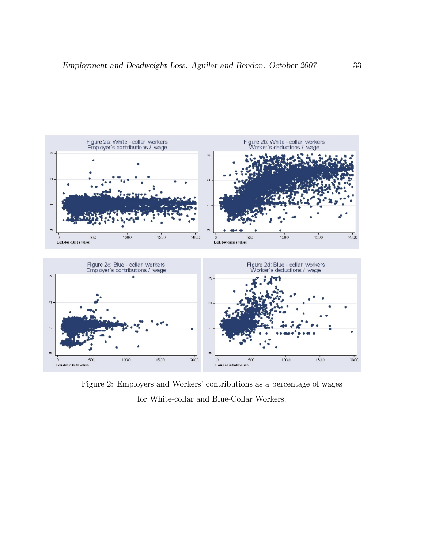

Figure 2: Employers and Workers' contributions as a percentage of wages for White-collar and Blue-Collar Workers.